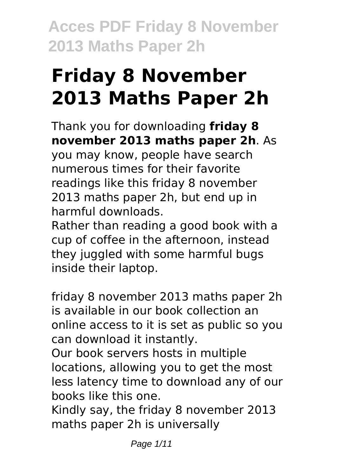# **Friday 8 November 2013 Maths Paper 2h**

Thank you for downloading **friday 8 november 2013 maths paper 2h**. As

you may know, people have search numerous times for their favorite readings like this friday 8 november 2013 maths paper 2h, but end up in harmful downloads.

Rather than reading a good book with a cup of coffee in the afternoon, instead they juggled with some harmful bugs inside their laptop.

friday 8 november 2013 maths paper 2h is available in our book collection an online access to it is set as public so you can download it instantly.

Our book servers hosts in multiple locations, allowing you to get the most less latency time to download any of our books like this one.

Kindly say, the friday 8 november 2013 maths paper 2h is universally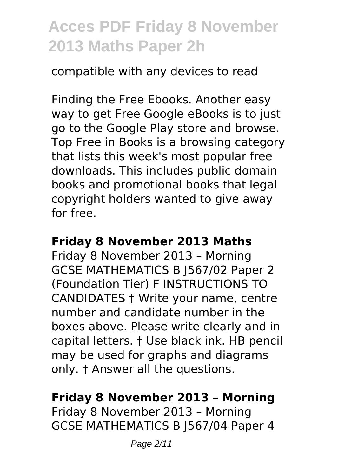compatible with any devices to read

Finding the Free Ebooks. Another easy way to get Free Google eBooks is to just go to the Google Play store and browse. Top Free in Books is a browsing category that lists this week's most popular free downloads. This includes public domain books and promotional books that legal copyright holders wanted to give away for free.

#### **Friday 8 November 2013 Maths**

Friday 8 November 2013 – Morning GCSE MATHEMATICS B J567/02 Paper 2 (Foundation Tier) F INSTRUCTIONS TO CANDIDATES † Write your name, centre number and candidate number in the boxes above. Please write clearly and in capital letters. † Use black ink. HB pencil may be used for graphs and diagrams only. † Answer all the questions.

### **Friday 8 November 2013 – Morning**

Friday 8 November 2013 – Morning GCSE MATHEMATICS B J567/04 Paper 4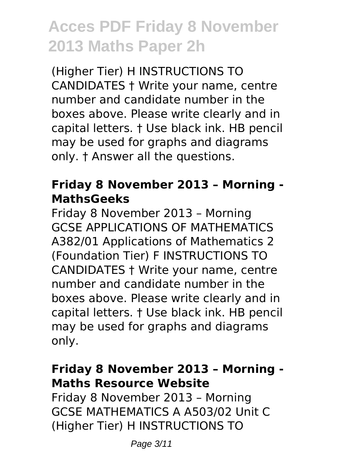(Higher Tier) H INSTRUCTIONS TO CANDIDATES † Write your name, centre number and candidate number in the boxes above. Please write clearly and in capital letters. † Use black ink. HB pencil may be used for graphs and diagrams only. † Answer all the questions.

### **Friday 8 November 2013 – Morning - MathsGeeks**

Friday 8 November 2013 – Morning GCSE APPLICATIONS OF MATHEMATICS A382/01 Applications of Mathematics 2 (Foundation Tier) F INSTRUCTIONS TO CANDIDATES † Write your name, centre number and candidate number in the boxes above. Please write clearly and in capital letters. † Use black ink. HB pencil may be used for graphs and diagrams only.

### **Friday 8 November 2013 – Morning - Maths Resource Website**

Friday 8 November 2013 – Morning GCSE MATHEMATICS A A503/02 Unit C (Higher Tier) H INSTRUCTIONS TO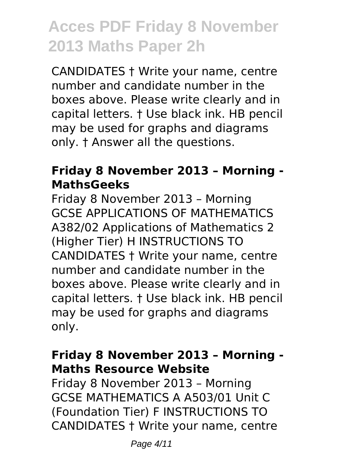CANDIDATES † Write your name, centre number and candidate number in the boxes above. Please write clearly and in capital letters. † Use black ink. HB pencil may be used for graphs and diagrams only. † Answer all the questions.

### **Friday 8 November 2013 – Morning - MathsGeeks**

Friday 8 November 2013 – Morning GCSE APPLICATIONS OF MATHEMATICS A382/02 Applications of Mathematics 2 (Higher Tier) H INSTRUCTIONS TO CANDIDATES † Write your name, centre number and candidate number in the boxes above. Please write clearly and in capital letters. † Use black ink. HB pencil may be used for graphs and diagrams only.

### **Friday 8 November 2013 – Morning - Maths Resource Website**

Friday 8 November 2013 – Morning GCSE MATHEMATICS A A503/01 Unit C (Foundation Tier) F INSTRUCTIONS TO CANDIDATES † Write your name, centre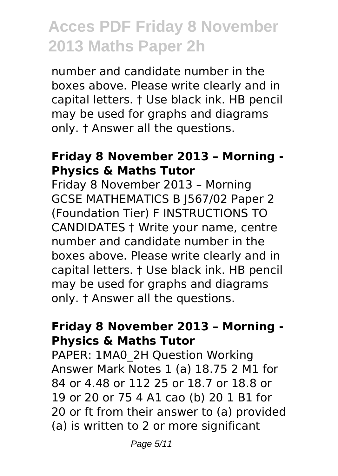number and candidate number in the boxes above. Please write clearly and in capital letters. † Use black ink. HB pencil may be used for graphs and diagrams only. † Answer all the questions.

#### **Friday 8 November 2013 – Morning - Physics & Maths Tutor**

Friday 8 November 2013 – Morning GCSE MATHEMATICS B J567/02 Paper 2 (Foundation Tier) F INSTRUCTIONS TO CANDIDATES † Write your name, centre number and candidate number in the boxes above. Please write clearly and in capital letters. † Use black ink. HB pencil may be used for graphs and diagrams only. † Answer all the questions.

#### **Friday 8 November 2013 – Morning - Physics & Maths Tutor**

PAPER: 1MA0\_2H Question Working Answer Mark Notes 1 (a) 18.75 2 M1 for 84 or 4.48 or 112 25 or 18.7 or 18.8 or 19 or 20 or 75 4 A1 cao (b) 20 1 B1 for 20 or ft from their answer to (a) provided (a) is written to 2 or more significant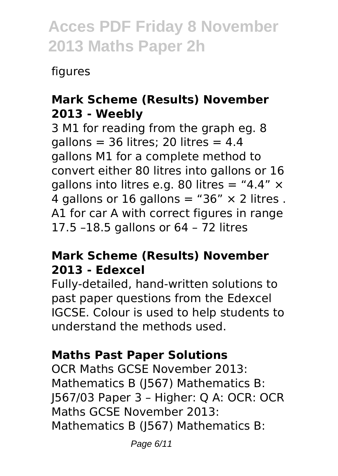figures

### **Mark Scheme (Results) November 2013 - Weebly**

3 M1 for reading from the graph eg. 8 gallons =  $36$  litres; 20 litres =  $4.4$ gallons M1 for a complete method to convert either 80 litres into gallons or 16 gallons into litres e.g. 80 litres = "4.4"  $\times$ 4 gallons or 16 gallons = "36"  $\times$  2 litres . A1 for car A with correct figures in range 17.5 –18.5 gallons or 64 – 72 litres

#### **Mark Scheme (Results) November 2013 - Edexcel**

Fully-detailed, hand-written solutions to past paper questions from the Edexcel IGCSE. Colour is used to help students to understand the methods used.

### **Maths Past Paper Solutions**

OCR Maths GCSE November 2013: Mathematics B (J567) Mathematics B: J567/03 Paper 3 – Higher: Q A: OCR: OCR Maths GCSE November 2013: Mathematics B (J567) Mathematics B: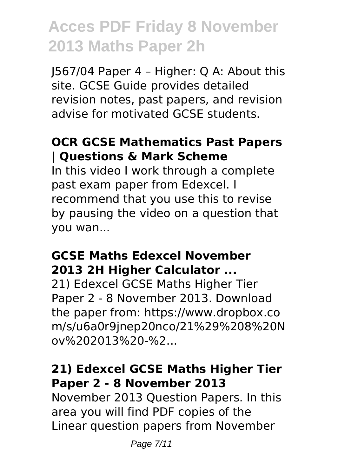J567/04 Paper 4 – Higher: Q A: About this site. GCSE Guide provides detailed revision notes, past papers, and revision advise for motivated GCSE students.

### **OCR GCSE Mathematics Past Papers | Questions & Mark Scheme**

In this video I work through a complete past exam paper from Edexcel. I recommend that you use this to revise by pausing the video on a question that you wan...

### **GCSE Maths Edexcel November 2013 2H Higher Calculator ...**

21) Edexcel GCSE Maths Higher Tier Paper 2 - 8 November 2013. Download the paper from: https://www.dropbox.co m/s/u6a0r9jnep20nco/21%29%208%20N ov%202013%20-%2...

### **21) Edexcel GCSE Maths Higher Tier Paper 2 - 8 November 2013**

November 2013 Question Papers. In this area you will find PDF copies of the Linear question papers from November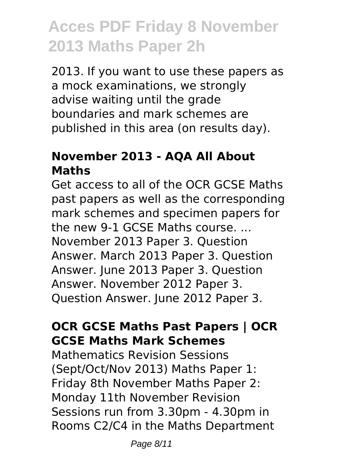2013. If you want to use these papers as a mock examinations, we strongly advise waiting until the grade boundaries and mark schemes are published in this area (on results day).

### **November 2013 - AQA All About Maths**

Get access to all of the OCR GCSE Maths past papers as well as the corresponding mark schemes and specimen papers for the new 9-1 GCSE Maths course. ... November 2013 Paper 3. Question Answer. March 2013 Paper 3. Question Answer. June 2013 Paper 3. Question Answer. November 2012 Paper 3. Question Answer. June 2012 Paper 3.

### **OCR GCSE Maths Past Papers | OCR GCSE Maths Mark Schemes**

Mathematics Revision Sessions (Sept/Oct/Nov 2013) Maths Paper 1: Friday 8th November Maths Paper 2: Monday 11th November Revision Sessions run from 3.30pm - 4.30pm in Rooms C2/C4 in the Maths Department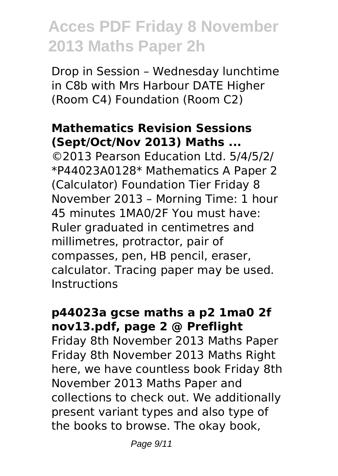Drop in Session – Wednesday lunchtime in C8b with Mrs Harbour DATE Higher (Room C4) Foundation (Room C2)

### **Mathematics Revision Sessions (Sept/Oct/Nov 2013) Maths ...**

©2013 Pearson Education Ltd. 5/4/5/2/ \*P44023A0128\* Mathematics A Paper 2 (Calculator) Foundation Tier Friday 8 November 2013 – Morning Time: 1 hour 45 minutes 1MA0/2F You must have: Ruler graduated in centimetres and millimetres, protractor, pair of compasses, pen, HB pencil, eraser, calculator. Tracing paper may be used. Instructions

#### **p44023a gcse maths a p2 1ma0 2f nov13.pdf, page 2 @ Preflight**

Friday 8th November 2013 Maths Paper Friday 8th November 2013 Maths Right here, we have countless book Friday 8th November 2013 Maths Paper and collections to check out. We additionally present variant types and also type of the books to browse. The okay book,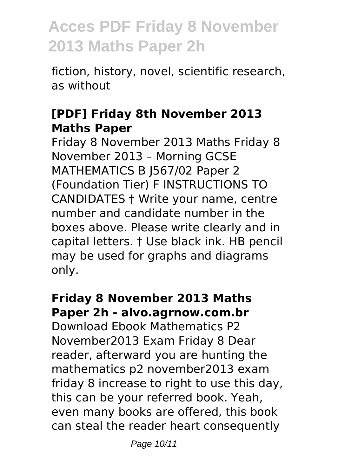fiction, history, novel, scientific research, as without

### **[PDF] Friday 8th November 2013 Maths Paper**

Friday 8 November 2013 Maths Friday 8 November 2013 – Morning GCSE MATHEMATICS B J567/02 Paper 2 (Foundation Tier) F INSTRUCTIONS TO CANDIDATES † Write your name, centre number and candidate number in the boxes above. Please write clearly and in capital letters. † Use black ink. HB pencil may be used for graphs and diagrams only.

#### **Friday 8 November 2013 Maths Paper 2h - alvo.agrnow.com.br**

Download Ebook Mathematics P2 November2013 Exam Friday 8 Dear reader, afterward you are hunting the mathematics p2 november2013 exam friday 8 increase to right to use this day. this can be your referred book. Yeah, even many books are offered, this book can steal the reader heart consequently